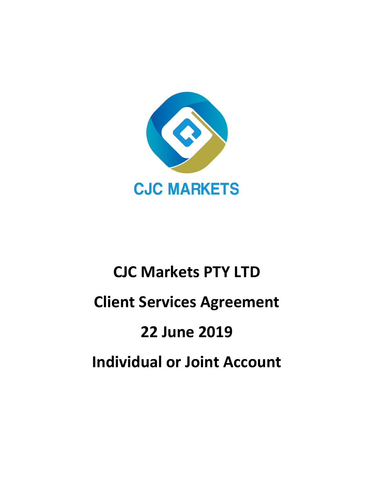

# **CJC Markets PTY LTD Client Services Agreement 22 June 2019 Individual or Joint Account**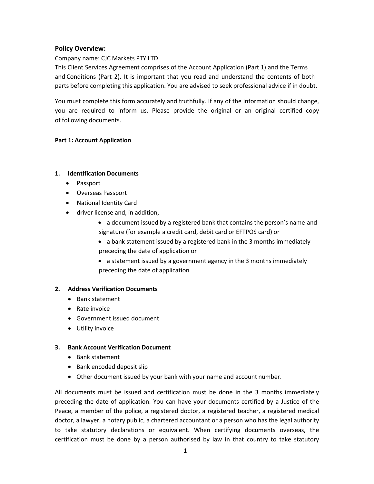#### **Policy Overview:**

#### Company name: CJC Markets PTY LTD

This Client Services Agreement comprises of the Account Application (Part 1) and the Terms and Conditions (Part 2). It is important that you read and understand the contents of both parts before completing this application. You are advised to seek professional advice if in doubt.

You must complete this form accurately and truthfully. If any of the information should change, you are required to inform us. Please provide the original or an original certified copy of following documents.

#### **Part 1: Account Application**

#### **1. Identification Documents**

- Passport
- Overseas Passport
- National Identity Card
- driver license and, in addition,
	- a document issued by a registered bank that contains the person's name and signature (for example a credit card, debit card or EFTPOS card) or
	- a bank statement issued by a registered bank in the 3 months immediately preceding the date of application or
	- a statement issued by a government agency in the 3 months immediately preceding the date of application

#### **2. Address Verification Documents**

- Bank statement
- Rate invoice
- Government issued document
- Utility invoice

#### **3. Bank Account Verification Document**

- Bank statement
- Bank encoded deposit slip
- Other document issued by your bank with your name and account number.

All documents must be issued and certification must be done in the 3 months immediately preceding the date of application. You can have your documents certified by a Justice of the Peace, a member of the police, a registered doctor, a registered teacher, a registered medical doctor, a lawyer, a notary public, a chartered accountant or a person who has the legal authority to take statutory declarations or equivalent. When certifying documents overseas, the certification must be done by a person authorised by law in that country to take statutory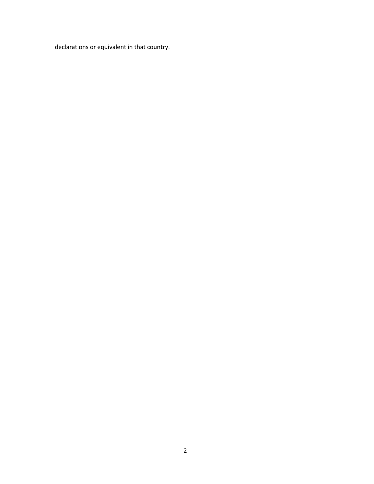declarations or equivalent in that country.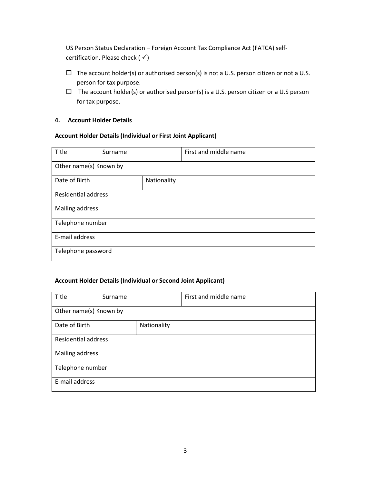US Person Status Declaration – Foreign Account Tax Compliance Act (FATCA) selfcertification. Please check ( $\checkmark$ )

- $\square$  The account holder(s) or authorised person(s) is not a U.S. person citizen or not a U.S. person for tax purpose.
- $\Box$  The account holder(s) or authorised person(s) is a U.S. person citizen or a U.S person for tax purpose.

#### **4. Account Holder Details**

#### **Account Holder Details (Individual or First Joint Applicant)**

| Title                      | Surname |             | First and middle name |
|----------------------------|---------|-------------|-----------------------|
| Other name(s) Known by     |         |             |                       |
| Date of Birth              |         | Nationality |                       |
| <b>Residential address</b> |         |             |                       |
| Mailing address            |         |             |                       |
| Telephone number           |         |             |                       |
| E-mail address             |         |             |                       |
| Telephone password         |         |             |                       |

#### **Account Holder Details (Individual or Second Joint Applicant)**

| Title                      | Surname |             | First and middle name |
|----------------------------|---------|-------------|-----------------------|
| Other name(s) Known by     |         |             |                       |
| Date of Birth              |         | Nationality |                       |
| <b>Residential address</b> |         |             |                       |
| Mailing address            |         |             |                       |
| Telephone number           |         |             |                       |
| E-mail address             |         |             |                       |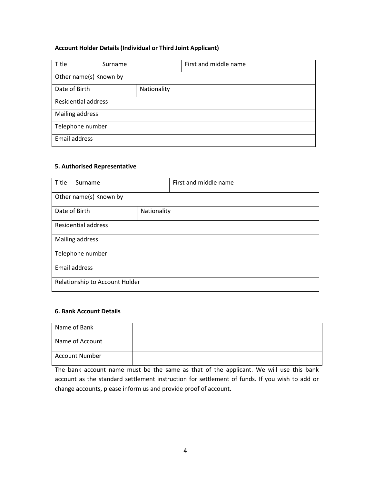#### **Account Holder Details (Individual or Third Joint Applicant)**

| Title                      | Surname |             | First and middle name |
|----------------------------|---------|-------------|-----------------------|
| Other name(s) Known by     |         |             |                       |
| Date of Birth              |         | Nationality |                       |
| <b>Residential address</b> |         |             |                       |
| Mailing address            |         |             |                       |
| Telephone number           |         |             |                       |
| Email address              |         |             |                       |

#### **5. Authorised Representative**

| Title                          | Surname                    |             | First and middle name |
|--------------------------------|----------------------------|-------------|-----------------------|
|                                | Other name(s) Known by     |             |                       |
|                                | Date of Birth              | Nationality |                       |
|                                | <b>Residential address</b> |             |                       |
|                                | Mailing address            |             |                       |
|                                | Telephone number           |             |                       |
| Email address                  |                            |             |                       |
| Relationship to Account Holder |                            |             |                       |

#### **6. Bank Account Details**

| Name of Bank          |  |
|-----------------------|--|
| Name of Account       |  |
| <b>Account Number</b> |  |

The bank account name must be the same as that of the applicant. We will use this bank account as the standard settlement instruction for settlement of funds. If you wish to add or change accounts, please inform us and provide proof of account.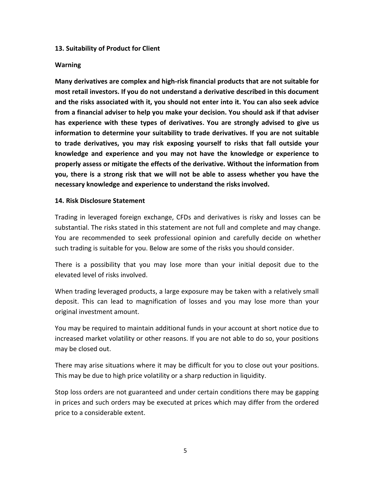#### **13. Suitability of Product for Client**

#### **Warning**

**Many derivatives are complex and high-risk financial products that are not suitable for most retail investors. If you do not understand a derivative described in this document and the risks associated with it, you should not enter into it. You can also seek advice from a financial adviser to help you make your decision. You should ask if that adviser has experience with these types of derivatives. You are strongly advised to give us information to determine your suitability to trade derivatives. If you are not suitable to trade derivatives, you may risk exposing yourself to risks that fall outside your knowledge and experience and you may not have the knowledge or experience to properly assess or mitigate the effects of the derivative. Without the information from you, there is a strong risk that we will not be able to assess whether you have the necessary knowledge and experience to understand the risksinvolved.**

#### **14. Risk Disclosure Statement**

Trading in leveraged foreign exchange, CFDs and derivatives is risky and losses can be substantial. The risks stated in this statement are not full and complete and may change. You are recommended to seek professional opinion and carefully decide on whether such trading is suitable for you. Below are some of the risks you should consider.

There is a possibility that you may lose more than your initial deposit due to the elevated level of risks involved.

When trading leveraged products, a large exposure may be taken with a relatively small deposit. This can lead to magnification of losses and you may lose more than your original investment amount.

You may be required to maintain additional funds in your account at short notice due to increased market volatility or other reasons. If you are not able to do so, your positions may be closed out.

There may arise situations where it may be difficult for you to close out your positions. This may be due to high price volatility or a sharp reduction in liquidity.

Stop loss orders are not guaranteed and under certain conditions there may be gapping in prices and such orders may be executed at prices which may differ from the ordered price to a considerable extent.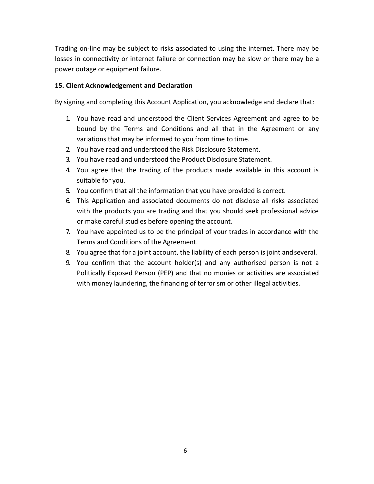Trading on-line may be subject to risks associated to using the internet. There may be losses in connectivity or internet failure or connection may be slow or there may be a power outage or equipment failure.

## **15. Client Acknowledgement and Declaration**

By signing and completing this Account Application, you acknowledge and declare that:

- 1. You have read and understood the Client Services Agreement and agree to be bound by the Terms and Conditions and all that in the Agreement or any variations that may be informed to you from time to time.
- 2. You have read and understood the Risk Disclosure Statement.
- 3. You have read and understood the Product Disclosure Statement.
- 4. You agree that the trading of the products made available in this account is suitable for you.
- 5. You confirm that all the information that you have provided is correct.
- 6. This Application and associated documents do not disclose all risks associated with the products you are trading and that you should seek professional advice or make careful studies before opening the account.
- 7. You have appointed us to be the principal of your trades in accordance with the Terms and Conditions of the Agreement.
- 8. You agree that for a joint account, the liability of each person is joint andseveral.
- 9. You confirm that the account holder(s) and any authorised person is not a Politically Exposed Person (PEP) and that no monies or activities are associated with money laundering, the financing of terrorism or other illegal activities.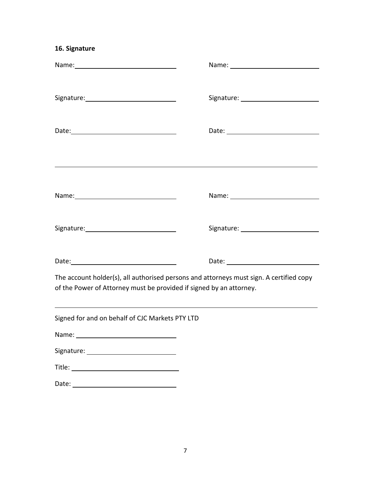# **16. Signature**

| of the Power of Attorney must be provided if signed by an attorney.                                                                                                                                                           | The account holder(s), all authorised persons and attorneys must sign. A certified copy |
|-------------------------------------------------------------------------------------------------------------------------------------------------------------------------------------------------------------------------------|-----------------------------------------------------------------------------------------|
| Signed for and on behalf of CJC Markets PTY LTD                                                                                                                                                                               |                                                                                         |
| Name: Name and the service of the service of the service of the service of the service of the service of the service of the service of the service of the service of the service of the service of the service of the service |                                                                                         |
|                                                                                                                                                                                                                               |                                                                                         |
|                                                                                                                                                                                                                               |                                                                                         |
|                                                                                                                                                                                                                               |                                                                                         |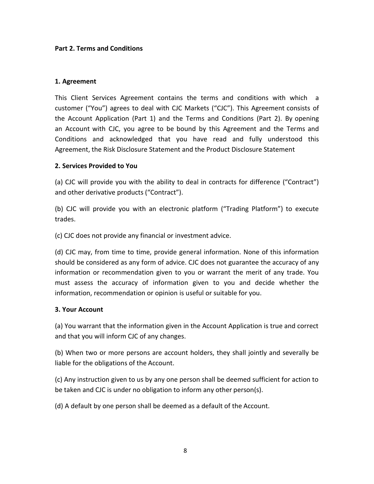## **Part 2. Terms and Conditions**

## **1. Agreement**

This Client Services Agreement contains the terms and conditions with which a customer ("You") agrees to deal with CJC Markets ("CJC"). This Agreement consists of the Account Application (Part 1) and the Terms and Conditions (Part 2). By opening an Account with CJC, you agree to be bound by this Agreement and the Terms and Conditions and acknowledged that you have read and fully understood this Agreement, the Risk Disclosure Statement and the Product Disclosure Statement

## **2. Services Provided to You**

(a) CJC will provide you with the ability to deal in contracts for difference ("Contract") and other derivative products ("Contract").

(b) CJC will provide you with an electronic platform ("Trading Platform") to execute trades.

(c) CJC does not provide any financial or investment advice.

(d) CJC may, from time to time, provide general information. None of this information should be considered as any form of advice. CJC does not guarantee the accuracy of any information or recommendation given to you or warrant the merit of any trade. You must assess the accuracy of information given to you and decide whether the information, recommendation or opinion is useful or suitable for you.

#### **3. Your Account**

(a) You warrant that the information given in the Account Application is true and correct and that you will inform CJC of any changes.

(b) When two or more persons are account holders, they shall jointly and severally be liable for the obligations of the Account.

(c) Any instruction given to us by any one person shall be deemed sufficient for action to be taken and CJC is under no obligation to inform any other person(s).

(d) A default by one person shall be deemed as a default of the Account.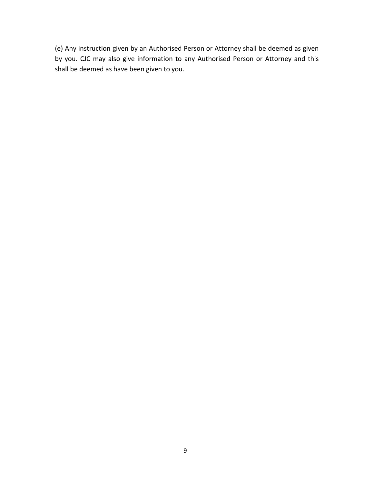(e) Any instruction given by an Authorised Person or Attorney shall be deemed as given by you. CJC may also give information to any Authorised Person or Attorney and this shall be deemed as have been given to you.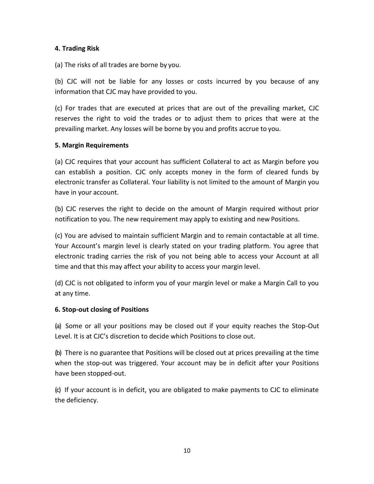## **4. Trading Risk**

(a) The risks of all trades are borne by you.

(b) CJC will not be liable for any losses or costs incurred by you because of any information that CJC may have provided to you.

(c) For trades that are executed at prices that are out of the prevailing market, CJC reserves the right to void the trades or to adjust them to prices that were at the prevailing market. Any losses will be borne by you and profits accrue to you.

#### **5. Margin Requirements**

(a) CJC requires that your account has sufficient Collateral to act as Margin before you can establish a position. CJC only accepts money in the form of cleared funds by electronic transfer as Collateral. Your liability is not limited to the amount of Margin you have in your account.

(b) CJC reserves the right to decide on the amount of Margin required without prior notification to you. The new requirement may apply to existing and new Positions.

(c) You are advised to maintain sufficient Margin and to remain contactable at all time. Your Account's margin level is clearly stated on your trading platform. You agree that electronic trading carries the risk of you not being able to access your Account at all time and that this may affect your ability to access your margin level.

(d) CJC is not obligated to inform you of your margin level or make a Margin Call to you at any time.

#### **6. Stop-out closing of Positions**

(a) Some or all your positions may be closed out if your equity reaches the Stop-Out Level. It is at CJC's discretion to decide which Positions to close out.

(b) There is no guarantee that Positions will be closed out at prices prevailing at the time when the stop-out was triggered. Your account may be in deficit after your Positions have been stopped-out.

(c) If your account is in deficit, you are obligated to make payments to CJC to eliminate the deficiency.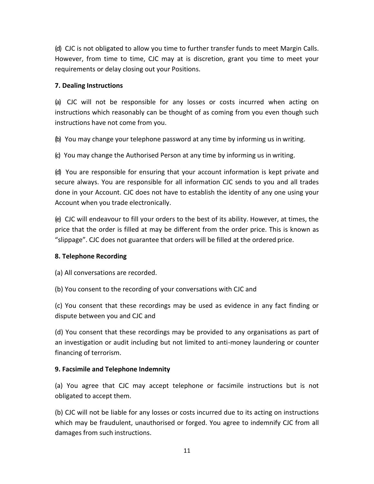(d) CJC is not obligated to allow you time to further transfer funds to meet Margin Calls. However, from time to time, CJC may at is discretion, grant you time to meet your requirements or delay closing out your Positions.

## **7. Dealing Instructions**

(a) CJC will not be responsible for any losses or costs incurred when acting on instructions which reasonably can be thought of as coming from you even though such instructions have not come from you.

(b) You may change your telephone password at any time by informing us in writing.

(c) You may change the Authorised Person at any time by informing us in writing.

(d) You are responsible for ensuring that your account information is kept private and secure always. You are responsible for all information CJC sends to you and all trades done in your Account. CJC does not have to establish the identity of any one using your Account when you trade electronically.

(e) CJC will endeavour to fill your orders to the best of its ability. However, at times, the price that the order is filled at may be different from the order price. This is known as "slippage". CJC does not guarantee that orders will be filled at the ordered price.

## **8. Telephone Recording**

(a) All conversations are recorded.

(b) You consent to the recording of your conversations with CJC and

(c) You consent that these recordings may be used as evidence in any fact finding or dispute between you and CJC and

(d) You consent that these recordings may be provided to any organisations as part of an investigation or audit including but not limited to anti-money laundering or counter financing of terrorism.

## **9. Facsimile and Telephone Indemnity**

(a) You agree that CJC may accept telephone or facsimile instructions but is not obligated to accept them.

(b) CJC will not be liable for any losses or costs incurred due to its acting on instructions which may be fraudulent, unauthorised or forged. You agree to indemnify CJC from all damages from such instructions.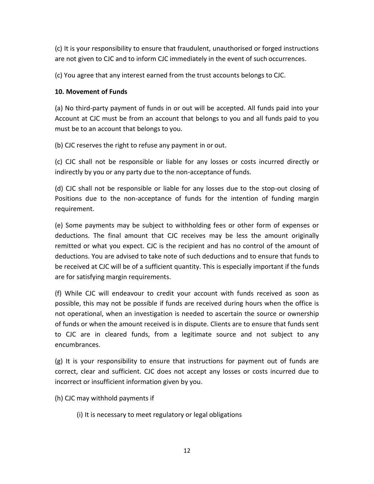(c) It is your responsibility to ensure that fraudulent, unauthorised or forged instructions are not given to CJC and to inform CJC immediately in the event of such occurrences.

(c) You agree that any interest earned from the trust accounts belongs to CJC.

## **10. Movement of Funds**

(a) No third-party payment of funds in or out will be accepted. All funds paid into your Account at CJC must be from an account that belongs to you and all funds paid to you must be to an account that belongs to you.

(b) CJC reserves the right to refuse any payment in or out.

(c) CJC shall not be responsible or liable for any losses or costs incurred directly or indirectly by you or any party due to the non-acceptance of funds.

(d) CJC shall not be responsible or liable for any losses due to the stop-out closing of Positions due to the non-acceptance of funds for the intention of funding margin requirement.

(e) Some payments may be subject to withholding fees or other form of expenses or deductions. The final amount that CJC receives may be less the amount originally remitted or what you expect. CJC is the recipient and has no control of the amount of deductions. You are advised to take note of such deductions and to ensure that funds to be received at CJC will be of a sufficient quantity. This is especially important if the funds are for satisfying margin requirements.

(f) While CJC will endeavour to credit your account with funds received as soon as possible, this may not be possible if funds are received during hours when the office is not operational, when an investigation is needed to ascertain the source or ownership of funds or when the amount received is in dispute. Clients are to ensure that funds sent to CJC are in cleared funds, from a legitimate source and not subject to any encumbrances.

(g) It is your responsibility to ensure that instructions for payment out of funds are correct, clear and sufficient. CJC does not accept any losses or costs incurred due to incorrect or insufficient information given by you.

(h) CJC may withhold payments if

(i) It is necessary to meet regulatory or legal obligations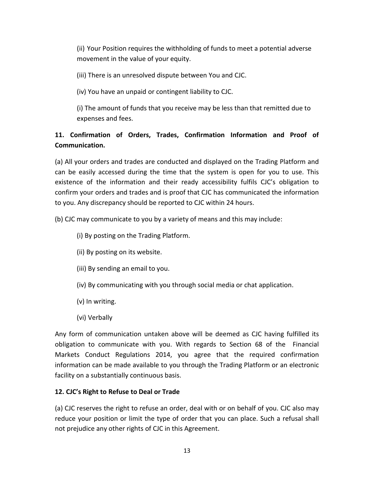(ii) Your Position requires the withholding of funds to meet a potential adverse movement in the value of your equity.

(iii) There is an unresolved dispute between You and CJC.

(iv) You have an unpaid or contingent liability to CJC.

(i) The amount of funds that you receive may be less than that remitted due to expenses and fees.

# **11. Confirmation of Orders, Trades, Confirmation Information and Proof of Communication.**

(a) All your orders and trades are conducted and displayed on the Trading Platform and can be easily accessed during the time that the system is open for you to use. This existence of the information and their ready accessibility fulfils CJC's obligation to confirm your orders and trades and is proof that CJC has communicated the information to you. Any discrepancy should be reported to CJC within 24 hours.

(b) CJC may communicate to you by a variety of means and this may include:

- (i) By posting on the Trading Platform.
- (ii) By posting on its website.
- (iii) By sending an email to you.
- (iv) By communicating with you through social media or chat application.
- (v) In writing.
- (vi) Verbally

Any form of communication untaken above will be deemed as CJC having fulfilled its obligation to communicate with you. With regards to Section 68 of the Financial Markets Conduct Regulations 2014, you agree that the required confirmation information can be made available to you through the Trading Platform or an electronic facility on a substantially continuous basis.

## **12. CJC's Right to Refuse to Deal or Trade**

(a) CJC reserves the right to refuse an order, deal with or on behalf of you. CJC also may reduce your position or limit the type of order that you can place. Such a refusal shall not prejudice any other rights of CJC in this Agreement.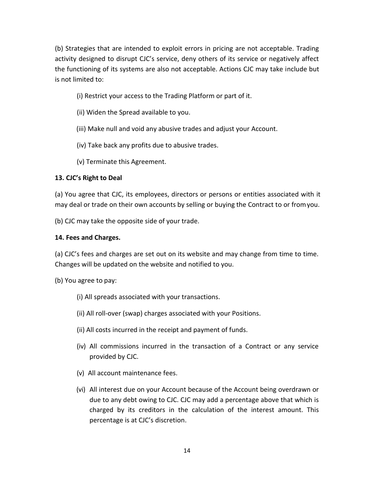(b) Strategies that are intended to exploit errors in pricing are not acceptable. Trading activity designed to disrupt CJC's service, deny others of its service or negatively affect the functioning of its systems are also not acceptable. Actions CJC may take include but is not limited to:

- (i) Restrict your access to the Trading Platform or part of it.
- (ii) Widen the Spread available to you.
- (iii) Make null and void any abusive trades and adjust your Account.
- (iv) Take back any profits due to abusive trades.
- (v) Terminate this Agreement.

## **13. CJC's Right to Deal**

(a) You agree that CJC, its employees, directors or persons or entities associated with it may deal or trade on their own accounts by selling or buying the Contract to or fromyou.

(b) CJC may take the opposite side of your trade.

## **14. Fees and Charges.**

(a) CJC's fees and charges are set out on its website and may change from time to time. Changes will be updated on the website and notified to you.

(b) You agree to pay:

- (i) All spreads associated with your transactions.
- (ii) All roll-over (swap) charges associated with your Positions.
- (ii) All costs incurred in the receipt and payment of funds.
- (iv) All commissions incurred in the transaction of a Contract or any service provided by CJC.
- (v) All account maintenance fees.
- (vi) All interest due on your Account because of the Account being overdrawn or due to any debt owing to CJC. CJC may add a percentage above that which is charged by its creditors in the calculation of the interest amount. This percentage is at CJC's discretion.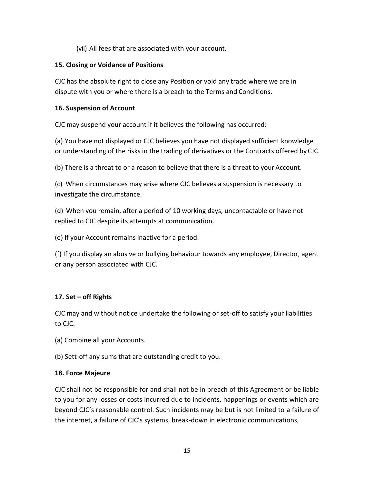(vii) All fees that are associated with your account.

## **15. Closing or Voidance of Positions**

CJC has the absolute right to close any Position or void any trade where we are in dispute with you or where there is a breach to the Terms and Conditions.

## **16. Suspension of Account**

CJC may suspend your account if it believes the following has occurred:

(a) You have not displayed or CJC believes you have not displayed sufficient knowledge or understanding of the risks in the trading of derivatives or the Contracts offered by CJC.

(b) There is a threat to or a reason to believe that there is a threat to your Account.

(c) When circumstances may arise where CJC believes a suspension is necessary to investigate the circumstance.

(d) When you remain, after a period of 10 working days, uncontactable or have not replied to CJC despite its attempts at communication.

(e) If your Account remains inactive for a period.

(f) If you display an abusive or bullying behaviour towards any employee, Director, agent or any person associated with CJC.

## **17. Set – off Rights**

CJC may and without notice undertake the following or set-off to satisfy your liabilities to CJC.

- (a) Combine all your Accounts.
- (b) Sett-off any sums that are outstanding credit to you.

#### **18. Force Majeure**

CJC shall not be responsible for and shall not be in breach of this Agreement or be liable to you for any losses or costs incurred due to incidents, happenings or events which are beyond CJC's reasonable control. Such incidents may be but is not limited to a failure of the internet, a failure of CJC's systems, break-down in electronic communications,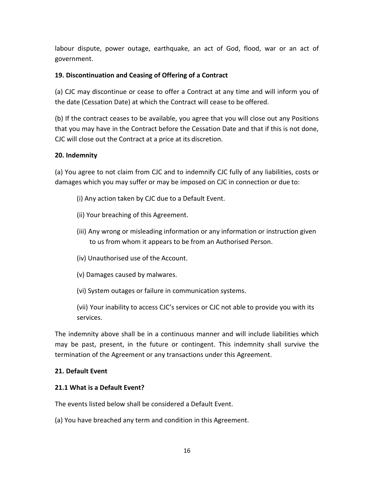labour dispute, power outage, earthquake, an act of God, flood, war or an act of government.

## **19. Discontinuation and Ceasing of Offering of a Contract**

(a) CJC may discontinue or cease to offer a Contract at any time and will inform you of the date (Cessation Date) at which the Contract will cease to be offered.

(b) If the contract ceases to be available, you agree that you will close out any Positions that you may have in the Contract before the Cessation Date and that if this is not done, CJC will close out the Contract at a price at its discretion.

## **20. Indemnity**

(a) You agree to not claim from CJC and to indemnify CJC fully of any liabilities, costs or damages which you may suffer or may be imposed on CJC in connection or due to:

- (i) Any action taken by CJC due to a Default Event.
- (ii) Your breaching of this Agreement.
- (iii) Any wrong or misleading information or any information or instruction given to us from whom it appears to be from an Authorised Person.
- (iv) Unauthorised use of the Account.
- (v) Damages caused by malwares.

(vi) System outages or failure in communication systems.

(vii) Your inability to access CJC's services or CJC not able to provide you with its services.

The indemnity above shall be in a continuous manner and will include liabilities which may be past, present, in the future or contingent. This indemnity shall survive the termination of the Agreement or any transactions under this Agreement.

## **21. Default Event**

## **21.1 What is a Default Event?**

The events listed below shall be considered a Default Event.

(a) You have breached any term and condition in this Agreement.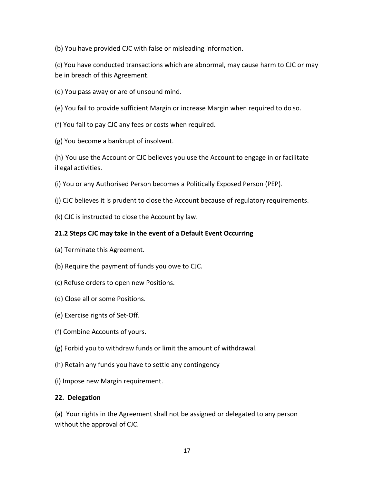(b) You have provided CJC with false or misleading information.

(c) You have conducted transactions which are abnormal, may cause harm to CJC or may be in breach of this Agreement.

- (d) You pass away or are of unsound mind.
- (e) You fail to provide sufficient Margin or increase Margin when required to do so.
- (f) You fail to pay CJC any fees or costs when required.
- (g) You become a bankrupt of insolvent.

(h) You use the Account or CJC believes you use the Account to engage in or facilitate illegal activities.

- (i) You or any Authorised Person becomes a Politically Exposed Person (PEP).
- (j) CJC believes it is prudent to close the Account because of regulatory requirements.
- (k) CJC is instructed to close the Account by law.

## **21.2 Steps CJC may take in the event of a Default Event Occurring**

- (a) Terminate this Agreement.
- (b) Require the payment of funds you owe to CJC.
- (c) Refuse orders to open new Positions.
- (d) Close all or some Positions.
- (e) Exercise rights of Set-Off.
- (f) Combine Accounts of yours.
- (g) Forbid you to withdraw funds or limit the amount of withdrawal.
- (h) Retain any funds you have to settle any contingency
- (i) Impose new Margin requirement.

#### **22. Delegation**

(a) Your rights in the Agreement shall not be assigned or delegated to any person without the approval of CJC.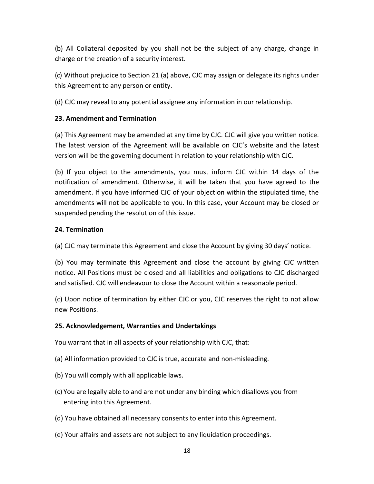(b) All Collateral deposited by you shall not be the subject of any charge, change in charge or the creation of a security interest.

(c) Without prejudice to Section 21 (a) above, CJC may assign or delegate its rights under this Agreement to any person or entity.

(d) CJC may reveal to any potential assignee any information in our relationship.

## **23. Amendment and Termination**

(a) This Agreement may be amended at any time by CJC. CJC will give you written notice. The latest version of the Agreement will be available on CJC's website and the latest version will be the governing document in relation to your relationship with CJC.

(b) If you object to the amendments, you must inform CJC within 14 days of the notification of amendment. Otherwise, it will be taken that you have agreed to the amendment. If you have informed CJC of your objection within the stipulated time, the amendments will not be applicable to you. In this case, your Account may be closed or suspended pending the resolution of this issue.

## **24. Termination**

(a) CJC may terminate this Agreement and close the Account by giving 30 days' notice.

(b) You may terminate this Agreement and close the account by giving CJC written notice. All Positions must be closed and all liabilities and obligations to CJC discharged and satisfied. CJC will endeavour to close the Account within a reasonable period.

(c) Upon notice of termination by either CJC or you, CJC reserves the right to not allow new Positions.

## **25. Acknowledgement, Warranties and Undertakings**

You warrant that in all aspects of your relationship with CJC, that:

- (a) All information provided to CJC is true, accurate and non-misleading.
- (b) You will comply with all applicable laws.
- (c) You are legally able to and are not under any binding which disallows you from entering into this Agreement.
- (d) You have obtained all necessary consents to enter into this Agreement.
- (e) Your affairs and assets are not subject to any liquidation proceedings.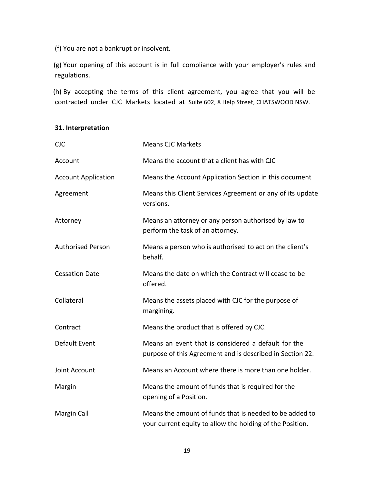(f) You are not a bankrupt or insolvent.

(g) Your opening of this account is in full compliance with your employer's rules and regulations.

(h) By accepting the terms of this client agreement, you agree that you will be contracted under CJC Markets located at Suite 602, 8 Help Street, CHATSWOOD NSW.

#### **31. Interpretation**

| <b>CJC</b>                 | <b>Means CJC Markets</b>                                                                                             |
|----------------------------|----------------------------------------------------------------------------------------------------------------------|
| Account                    | Means the account that a client has with CJC                                                                         |
| <b>Account Application</b> | Means the Account Application Section in this document                                                               |
| Agreement                  | Means this Client Services Agreement or any of its update<br>versions.                                               |
| Attorney                   | Means an attorney or any person authorised by law to<br>perform the task of an attorney.                             |
| <b>Authorised Person</b>   | Means a person who is authorised to act on the client's<br>behalf.                                                   |
| <b>Cessation Date</b>      | Means the date on which the Contract will cease to be<br>offered.                                                    |
| Collateral                 | Means the assets placed with CJC for the purpose of<br>margining.                                                    |
| Contract                   | Means the product that is offered by CJC.                                                                            |
| Default Event              | Means an event that is considered a default for the<br>purpose of this Agreement and is described in Section 22.     |
| Joint Account              | Means an Account where there is more than one holder.                                                                |
| Margin                     | Means the amount of funds that is required for the<br>opening of a Position.                                         |
| Margin Call                | Means the amount of funds that is needed to be added to<br>your current equity to allow the holding of the Position. |